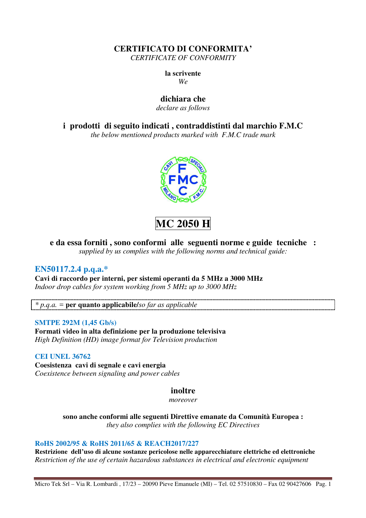**CERTIFICATO DI CONFORMITA'**  *CERTIFICATE OF CONFORMITY* 

**la scrivente** 

*We* 

# **dichiara che**

*declare as follows* 

**i prodotti di seguito indicati , contraddistinti dal marchio F.M.C** 

*the below mentioned products marked with F.M.C trade mark* 



**MC 2050 H** 

# **e da essa forniti , sono conformi alle seguenti norme e guide tecniche :**

*supplied by us complies with the following norms and technical guide:* 

## **EN50117.2.4 p.q.a.\***

**Cavi di raccordo per interni, per sistemi operanti da 5 MHz a 3000 MHz**  *Indoor drop cables for system working from 5 MHz up to 3000 MHz* 

*\* p.q.a. =* **per quanto applicabile/***so far as applicable* 

### **SMTPE 292M (1,45 Gb/s)**

**Formati video in alta definizione per la produzione televisiva**  *High Definition (HD) image format for Television production* 

## **CEI UNEL 36762**

**Coesistenza cavi di segnale e cavi energia**  *Coexistence between signaling and power cables* 

## **inoltre**

*moreover* 

**sono anche conformi alle seguenti Direttive emanate da Comunità Europea :**  *they also complies with the following EC Directives*

### **RoHS 2002/95 & RoHS 2011/65 & REACH2017/227**

**Restrizione dell'uso di alcune sostanze pericolose nelle apparecchiature elettriche ed elettroniche**  *Restriction of the use of certain hazardous substances in electrical and electronic equipment* 

Micro Tek Srl – Via R. Lombardi , 17/23 – 20090 Pieve Emanuele (MI) – Tel. 02 57510830 – Fax 02 90427606 Pag. 1